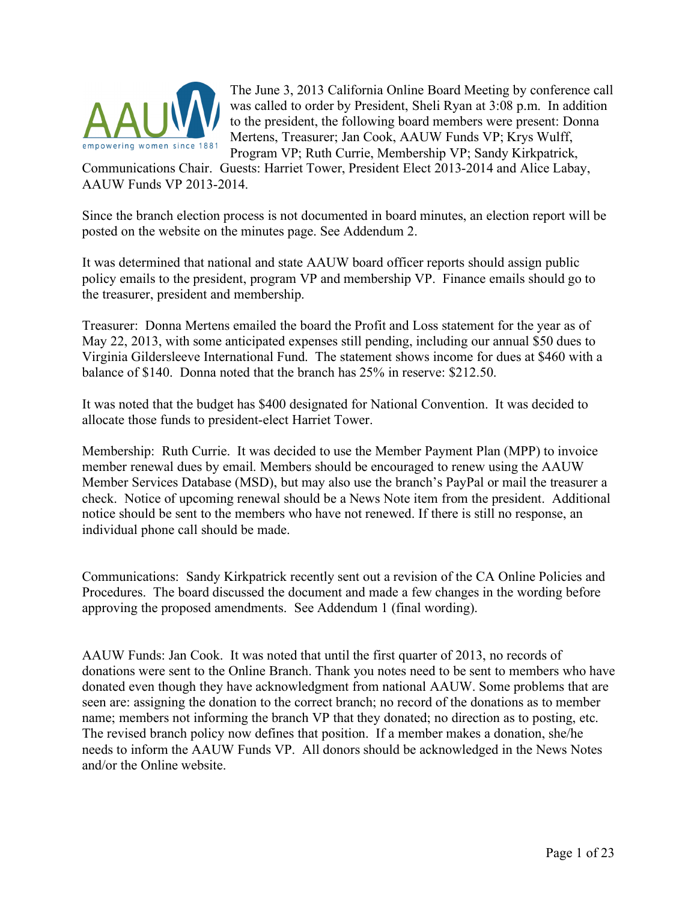

The June 3, 2013 California Online Board Meeting by conference call was called to order by President, Sheli Ryan at 3:08 p.m. In addition to the president, the following board members were present: Donna Mertens, Treasurer; Jan Cook, AAUW Funds VP; Krys Wulff, Program VP; Ruth Currie, Membership VP; Sandy Kirkpatrick,

Communications Chair. Guests: Harriet Tower, President Elect 2013-2014 and Alice Labay, AAUW Funds VP 2013-2014.

Since the branch election process is not documented in board minutes, an election report will be posted on the website on the minutes page. See Addendum 2.

It was determined that national and state AAUW board officer reports should assign public policy emails to the president, program VP and membership VP. Finance emails should go to the treasurer, president and membership.

Treasurer: Donna Mertens emailed the board the Profit and Loss statement for the year as of May 22, 2013, with some anticipated expenses still pending, including our annual \$50 dues to Virginia Gildersleeve International Fund. The statement shows income for dues at \$460 with a balance of \$140. Donna noted that the branch has 25% in reserve: \$212.50.

It was noted that the budget has \$400 designated for National Convention. It was decided to allocate those funds to president-elect Harriet Tower.

Membership: Ruth Currie. It was decided to use the Member Payment Plan (MPP) to invoice member renewal dues by email. Members should be encouraged to renew using the AAUW Member Services Database (MSD), but may also use the branch's PayPal or mail the treasurer a check. Notice of upcoming renewal should be a News Note item from the president. Additional notice should be sent to the members who have not renewed. If there is still no response, an individual phone call should be made.

Communications: Sandy Kirkpatrick recently sent out a revision of the CA Online Policies and Procedures. The board discussed the document and made a few changes in the wording before approving the proposed amendments. See Addendum 1 (final wording).

AAUW Funds: Jan Cook. It was noted that until the first quarter of 2013, no records of donations were sent to the Online Branch. Thank you notes need to be sent to members who have donated even though they have acknowledgment from national AAUW. Some problems that are seen are: assigning the donation to the correct branch; no record of the donations as to member name; members not informing the branch VP that they donated; no direction as to posting, etc. The revised branch policy now defines that position. If a member makes a donation, she/he needs to inform the AAUW Funds VP. All donors should be acknowledged in the News Notes and/or the Online website.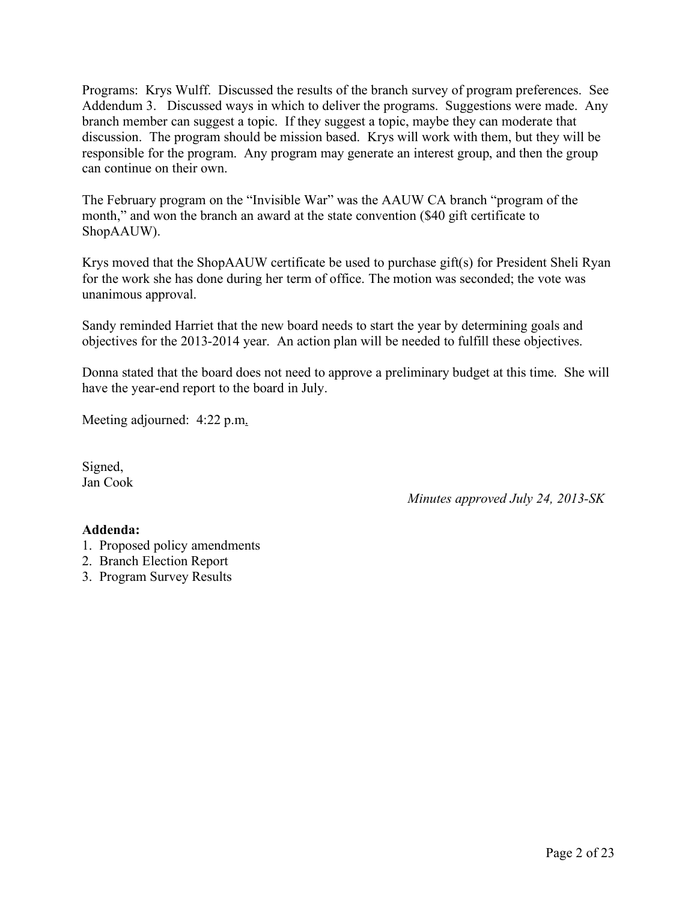Programs: Krys Wulff. Discussed the results of the branch survey of program preferences. See Addendum 3. Discussed ways in which to deliver the programs. Suggestions were made. Any branch member can suggest a topic. If they suggest a topic, maybe they can moderate that discussion. The program should be mission based. Krys will work with them, but they will be responsible for the program. Any program may generate an interest group, and then the group can continue on their own.

The February program on the "Invisible War" was the AAUW CA branch "program of the month," and won the branch an award at the state convention (\$40 gift certificate to ShopAAUW).

Krys moved that the ShopAAUW certificate be used to purchase gift(s) for President Sheli Ryan for the work she has done during her term of office. The motion was seconded; the vote was unanimous approval.

Sandy reminded Harriet that the new board needs to start the year by determining goals and objectives for the 2013-2014 year. An action plan will be needed to fulfill these objectives.

Donna stated that the board does not need to approve a preliminary budget at this time. She will have the year-end report to the board in July.

Meeting adjourned: 4:22 p.m.

Signed, Jan Cook

*Minutes approved July 24, 2013-SK*

#### **Addenda:**

- 1. Proposed policy amendments
- 2. Branch Election Report
- 3. Program Survey Results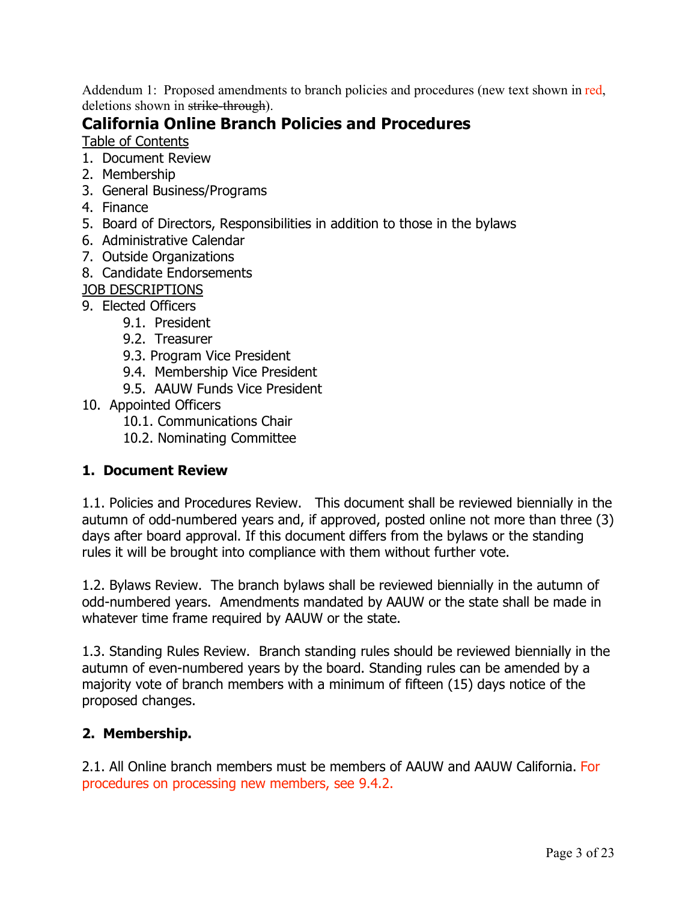Addendum 1: Proposed amendments to branch policies and procedures (new text shown in red, deletions shown in strike-through).

# **California Online Branch Policies and Procedures**

Table of Contents

- 1. Document Review
- 2. Membership
- 3. General Business/Programs
- 4. Finance
- 5. Board of Directors, Responsibilities in addition to those in the bylaws
- 6. Administrative Calendar
- 7. Outside Organizations
- 8. Candidate Endorsements

JOB DESCRIPTIONS

- 9. Elected Officers
	- 9.1. President
	- 9.2. Treasurer
	- 9.3. Program Vice President
	- 9.4. Membership Vice President
	- 9.5. AAUW Funds Vice President
- 10. Appointed Officers
	- 10.1. Communications Chair
	- 10.2. Nominating Committee

#### **1. Document Review**

1.1. Policies and Procedures Review. This document shall be reviewed biennially in the autumn of odd-numbered years and, if approved, posted online not more than three (3) days after board approval. If this document differs from the bylaws or the standing rules it will be brought into compliance with them without further vote.

1.2. Bylaws Review. The branch bylaws shall be reviewed biennially in the autumn of odd-numbered years. Amendments mandated by AAUW or the state shall be made in whatever time frame required by AAUW or the state.

1.3. Standing Rules Review. Branch standing rules should be reviewed biennially in the autumn of even-numbered years by the board. Standing rules can be amended by a majority vote of branch members with a minimum of fifteen (15) days notice of the proposed changes.

## **2. Membership.**

2.1. All Online branch members must be members of AAUW and AAUW California. For procedures on processing new members, see 9.4.2.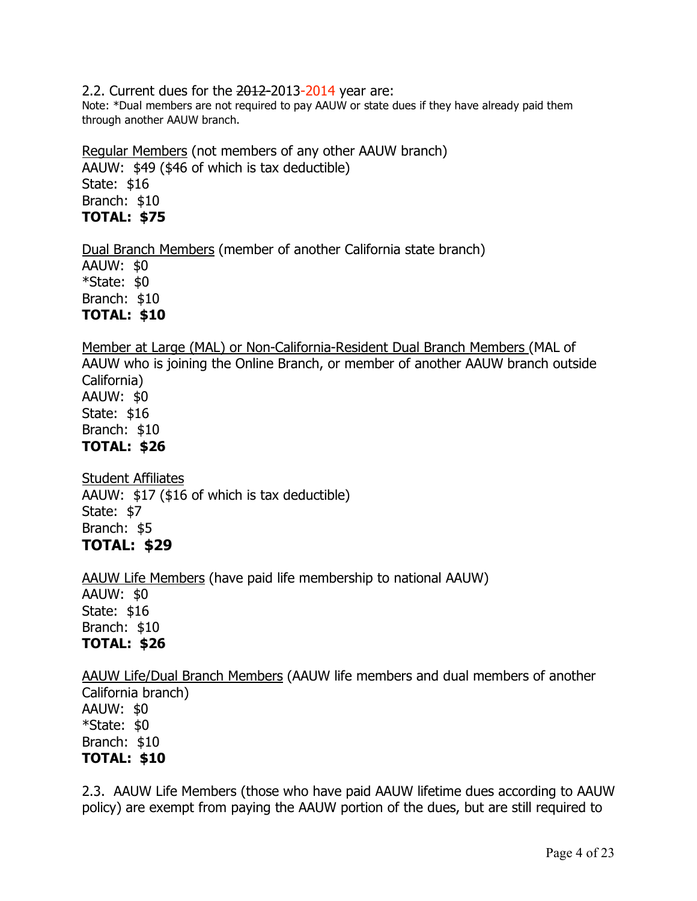2.2. Current dues for the 2012-2013-2014 year are:

Note: \*Dual members are not required to pay AAUW or state dues if they have already paid them through another AAUW branch.

Regular Members (not members of any other AAUW branch) AAUW: \$49 (\$46 of which is tax deductible) State: \$16 Branch: \$10 **TOTAL: \$75**

Dual Branch Members (member of another California state branch)

AAUW: \$0 \*State: \$0 Branch: \$10 **TOTAL: \$10**

Member at Large (MAL) or Non-California-Resident Dual Branch Members (MAL of AAUW who is joining the Online Branch, or member of another AAUW branch outside California) AAUW: \$0 State: \$16 Branch: \$10 **TOTAL: \$26**

Student Affiliates AAUW: \$17 (\$16 of which is tax deductible) State: \$7 Branch: \$5 **TOTAL: \$29**

AAUW Life Members (have paid life membership to national AAUW) AAUW: \$0 State: \$16 Branch: \$10 **TOTAL: \$26** 

AAUW Life/Dual Branch Members (AAUW life members and dual members of another California branch) AAUW: \$0

\*State: \$0 Branch: \$10 **TOTAL: \$10**

2.3. AAUW Life Members (those who have paid AAUW lifetime dues according to AAUW policy) are exempt from paying the AAUW portion of the dues, but are still required to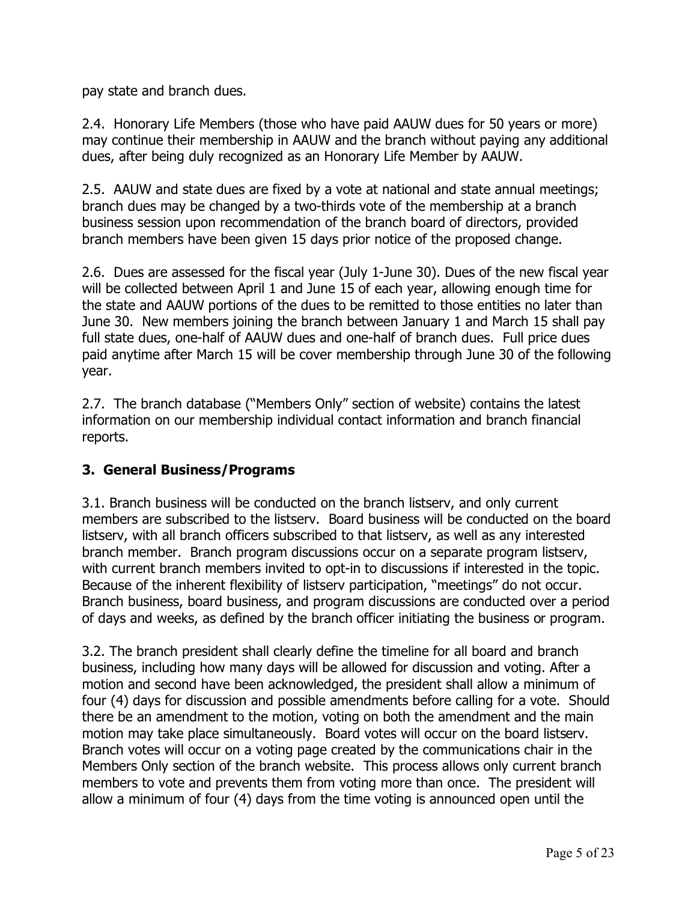pay state and branch dues.

2.4. Honorary Life Members (those who have paid AAUW dues for 50 years or more) may continue their membership in AAUW and the branch without paying any additional dues, after being duly recognized as an Honorary Life Member by AAUW.

2.5. AAUW and state dues are fixed by a vote at national and state annual meetings; branch dues may be changed by a two-thirds vote of the membership at a branch business session upon recommendation of the branch board of directors, provided branch members have been given 15 days prior notice of the proposed change.

2.6. Dues are assessed for the fiscal year (July 1-June 30). Dues of the new fiscal year will be collected between April 1 and June 15 of each year, allowing enough time for the state and AAUW portions of the dues to be remitted to those entities no later than June 30. New members joining the branch between January 1 and March 15 shall pay full state dues, one-half of AAUW dues and one-half of branch dues. Full price dues paid anytime after March 15 will be cover membership through June 30 of the following year.

2.7. The branch database ("Members Only" section of website) contains the latest information on our membership individual contact information and branch financial reports.

#### **3. General Business/Programs**

3.1. Branch business will be conducted on the branch listserv, and only current members are subscribed to the listserv. Board business will be conducted on the board listserv, with all branch officers subscribed to that listserv, as well as any interested branch member. Branch program discussions occur on a separate program listserv, with current branch members invited to opt-in to discussions if interested in the topic. Because of the inherent flexibility of listserv participation, "meetings" do not occur. Branch business, board business, and program discussions are conducted over a period of days and weeks, as defined by the branch officer initiating the business or program.

3.2. The branch president shall clearly define the timeline for all board and branch business, including how many days will be allowed for discussion and voting. After a motion and second have been acknowledged, the president shall allow a minimum of four (4) days for discussion and possible amendments before calling for a vote. Should there be an amendment to the motion, voting on both the amendment and the main motion may take place simultaneously. Board votes will occur on the board listserv. Branch votes will occur on a voting page created by the communications chair in the Members Only section of the branch website. This process allows only current branch members to vote and prevents them from voting more than once. The president will allow a minimum of four (4) days from the time voting is announced open until the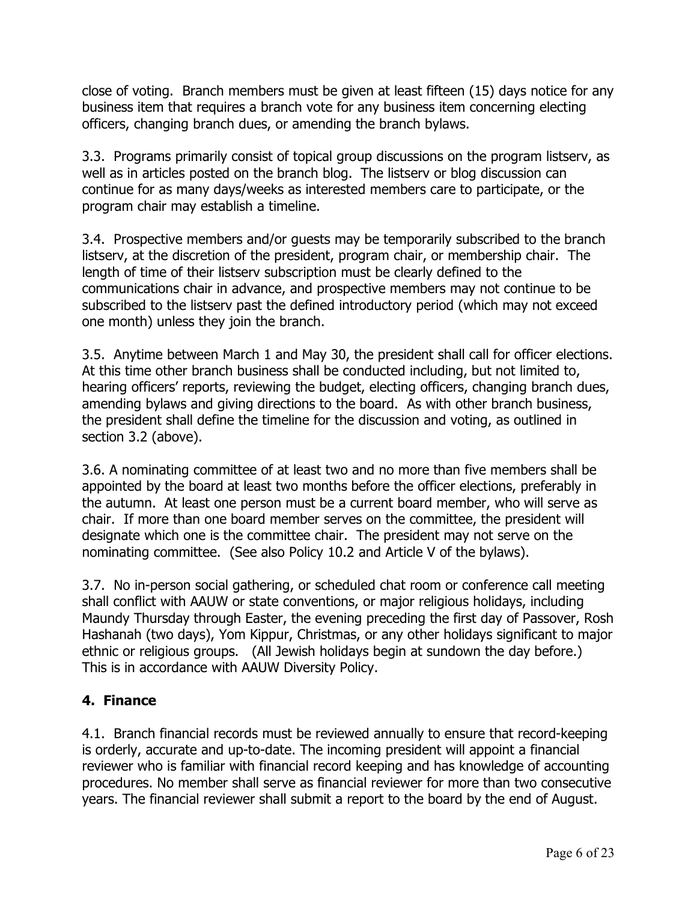close of voting. Branch members must be given at least fifteen (15) days notice for any business item that requires a branch vote for any business item concerning electing officers, changing branch dues, or amending the branch bylaws.

3.3. Programs primarily consist of topical group discussions on the program listserv, as well as in articles posted on the branch blog. The listserv or blog discussion can continue for as many days/weeks as interested members care to participate, or the program chair may establish a timeline.

3.4. Prospective members and/or guests may be temporarily subscribed to the branch listserv, at the discretion of the president, program chair, or membership chair. The length of time of their listserv subscription must be clearly defined to the communications chair in advance, and prospective members may not continue to be subscribed to the listserv past the defined introductory period (which may not exceed one month) unless they join the branch.

3.5. Anytime between March 1 and May 30, the president shall call for officer elections. At this time other branch business shall be conducted including, but not limited to, hearing officers' reports, reviewing the budget, electing officers, changing branch dues, amending bylaws and giving directions to the board. As with other branch business, the president shall define the timeline for the discussion and voting, as outlined in section 3.2 (above).

3.6. A nominating committee of at least two and no more than five members shall be appointed by the board at least two months before the officer elections, preferably in the autumn. At least one person must be a current board member, who will serve as chair. If more than one board member serves on the committee, the president will designate which one is the committee chair. The president may not serve on the nominating committee. (See also Policy 10.2 and Article V of the bylaws).

3.7. No in-person social gathering, or scheduled chat room or conference call meeting shall conflict with AAUW or state conventions, or major religious holidays, including Maundy Thursday through Easter, the evening preceding the first day of Passover, Rosh Hashanah (two days), Yom Kippur, Christmas, or any other holidays significant to major ethnic or religious groups. (All Jewish holidays begin at sundown the day before.) This is in accordance with AAUW Diversity Policy.

## **4. Finance**

4.1. Branch financial records must be reviewed annually to ensure that record-keeping is orderly, accurate and up-to-date. The incoming president will appoint a financial reviewer who is familiar with financial record keeping and has knowledge of accounting procedures. No member shall serve as financial reviewer for more than two consecutive years. The financial reviewer shall submit a report to the board by the end of August.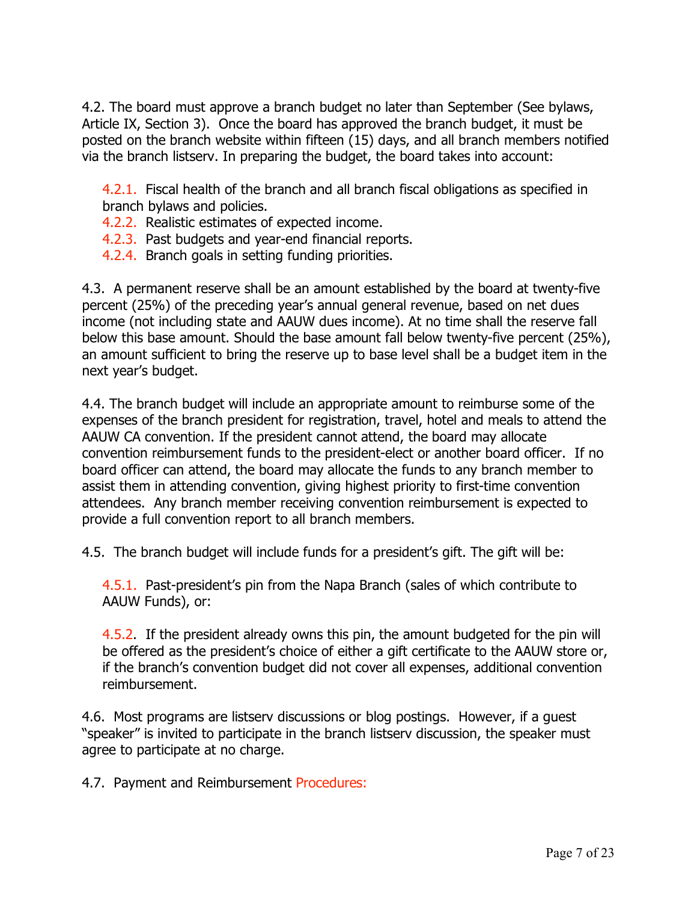4.2. The board must approve a branch budget no later than September (See bylaws, Article IX, Section 3). Once the board has approved the branch budget, it must be posted on the branch website within fifteen (15) days, and all branch members notified via the branch listserv. In preparing the budget, the board takes into account:

4.2.1. Fiscal health of the branch and all branch fiscal obligations as specified in branch bylaws and policies.

- 4.2.2. Realistic estimates of expected income.
- 4.2.3. Past budgets and year-end financial reports.
- 4.2.4. Branch goals in setting funding priorities.

4.3. A permanent reserve shall be an amount established by the board at twenty-five percent (25%) of the preceding year's annual general revenue, based on net dues income (not including state and AAUW dues income). At no time shall the reserve fall below this base amount. Should the base amount fall below twenty-five percent (25%), an amount sufficient to bring the reserve up to base level shall be a budget item in the next year's budget.

4.4. The branch budget will include an appropriate amount to reimburse some of the expenses of the branch president for registration, travel, hotel and meals to attend the AAUW CA convention. If the president cannot attend, the board may allocate convention reimbursement funds to the president-elect or another board officer. If no board officer can attend, the board may allocate the funds to any branch member to assist them in attending convention, giving highest priority to first-time convention attendees. Any branch member receiving convention reimbursement is expected to provide a full convention report to all branch members.

4.5. The branch budget will include funds for a president's gift. The gift will be:

4.5.1. Past-president's pin from the Napa Branch (sales of which contribute to AAUW Funds), or:

4.5.2. If the president already owns this pin, the amount budgeted for the pin will be offered as the president's choice of either a gift certificate to the AAUW store or, if the branch's convention budget did not cover all expenses, additional convention reimbursement.

4.6. Most programs are listserv discussions or blog postings. However, if a guest "speaker" is invited to participate in the branch listserv discussion, the speaker must agree to participate at no charge.

4.7. Payment and Reimbursement Procedures: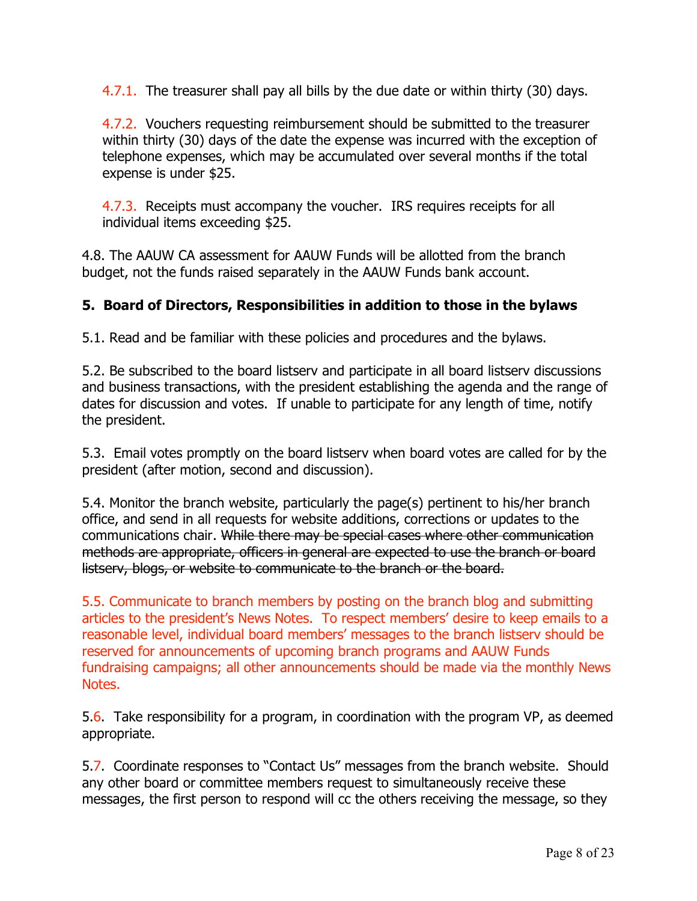4.7.1. The treasurer shall pay all bills by the due date or within thirty (30) days.

4.7.2. Vouchers requesting reimbursement should be submitted to the treasurer within thirty (30) days of the date the expense was incurred with the exception of telephone expenses, which may be accumulated over several months if the total expense is under \$25.

4.7.3. Receipts must accompany the voucher. IRS requires receipts for all individual items exceeding \$25.

4.8. The AAUW CA assessment for AAUW Funds will be allotted from the branch budget, not the funds raised separately in the AAUW Funds bank account.

## **5. Board of Directors, Responsibilities in addition to those in the bylaws**

5.1. Read and be familiar with these policies and procedures and the bylaws.

5.2. Be subscribed to the board listserv and participate in all board listserv discussions and business transactions, with the president establishing the agenda and the range of dates for discussion and votes. If unable to participate for any length of time, notify the president.

5.3. Email votes promptly on the board listserv when board votes are called for by the president (after motion, second and discussion).

5.4. Monitor the branch website, particularly the page(s) pertinent to his/her branch office, and send in all requests for website additions, corrections or updates to the communications chair. While there may be special cases where other communication methods are appropriate, officers in general are expected to use the branch or board listserv, blogs, or website to communicate to the branch or the board.

5.5. Communicate to branch members by posting on the branch blog and submitting articles to the president's News Notes. To respect members' desire to keep emails to a reasonable level, individual board members' messages to the branch listserv should be reserved for announcements of upcoming branch programs and AAUW Funds fundraising campaigns; all other announcements should be made via the monthly News Notes.

5.6. Take responsibility for a program, in coordination with the program VP, as deemed appropriate.

5.7. Coordinate responses to "Contact Us" messages from the branch website. Should any other board or committee members request to simultaneously receive these messages, the first person to respond will cc the others receiving the message, so they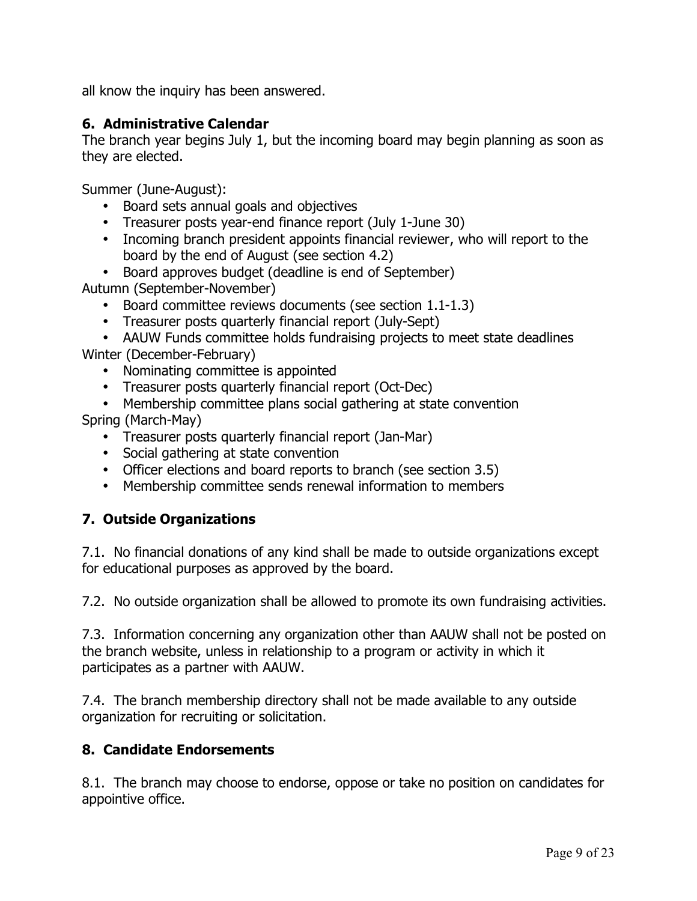all know the inquiry has been answered.

### **6. Administrative Calendar**

The branch year begins July 1, but the incoming board may begin planning as soon as they are elected.

Summer (June-August):

- Board sets annual goals and objectives
- Treasurer posts year-end finance report (July 1-June 30)
- Incoming branch president appoints financial reviewer, who will report to the board by the end of August (see section 4.2)
- Board approves budget (deadline is end of September)

Autumn (September-November)

- Board committee reviews documents (see section 1.1-1.3)
- Treasurer posts quarterly financial report (July-Sept)

• AAUW Funds committee holds fundraising projects to meet state deadlines Winter (December-February)

- Nominating committee is appointed
- Treasurer posts quarterly financial report (Oct-Dec)

• Membership committee plans social gathering at state convention Spring (March-May)

- Treasurer posts quarterly financial report (Jan-Mar)
- Social gathering at state convention
- Officer elections and board reports to branch (see section 3.5)
- Membership committee sends renewal information to members

## **7. Outside Organizations**

7.1. No financial donations of any kind shall be made to outside organizations except for educational purposes as approved by the board.

7.2. No outside organization shall be allowed to promote its own fundraising activities.

7.3. Information concerning any organization other than AAUW shall not be posted on the branch website, unless in relationship to a program or activity in which it participates as a partner with AAUW.

7.4. The branch membership directory shall not be made available to any outside organization for recruiting or solicitation.

#### **8. Candidate Endorsements**

8.1. The branch may choose to endorse, oppose or take no position on candidates for appointive office.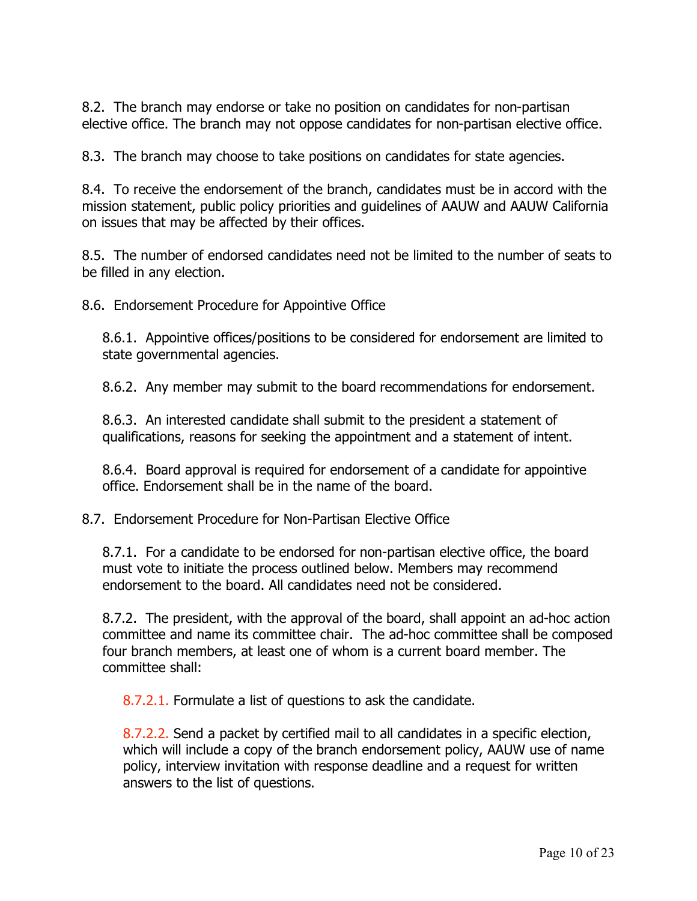8.2. The branch may endorse or take no position on candidates for non-partisan elective office. The branch may not oppose candidates for non-partisan elective office.

8.3. The branch may choose to take positions on candidates for state agencies.

8.4. To receive the endorsement of the branch, candidates must be in accord with the mission statement, public policy priorities and guidelines of AAUW and AAUW California on issues that may be affected by their offices.

8.5. The number of endorsed candidates need not be limited to the number of seats to be filled in any election.

8.6. Endorsement Procedure for Appointive Office

8.6.1. Appointive offices/positions to be considered for endorsement are limited to state governmental agencies.

8.6.2. Any member may submit to the board recommendations for endorsement.

8.6.3. An interested candidate shall submit to the president a statement of qualifications, reasons for seeking the appointment and a statement of intent.

8.6.4. Board approval is required for endorsement of a candidate for appointive office. Endorsement shall be in the name of the board.

8.7. Endorsement Procedure for Non-Partisan Elective Office

8.7.1. For a candidate to be endorsed for non-partisan elective office, the board must vote to initiate the process outlined below. Members may recommend endorsement to the board. All candidates need not be considered.

8.7.2. The president, with the approval of the board, shall appoint an ad-hoc action committee and name its committee chair. The ad-hoc committee shall be composed four branch members, at least one of whom is a current board member. The committee shall:

8.7.2.1. Formulate a list of questions to ask the candidate.

8.7.2.2. Send a packet by certified mail to all candidates in a specific election, which will include a copy of the branch endorsement policy, AAUW use of name policy, interview invitation with response deadline and a request for written answers to the list of questions.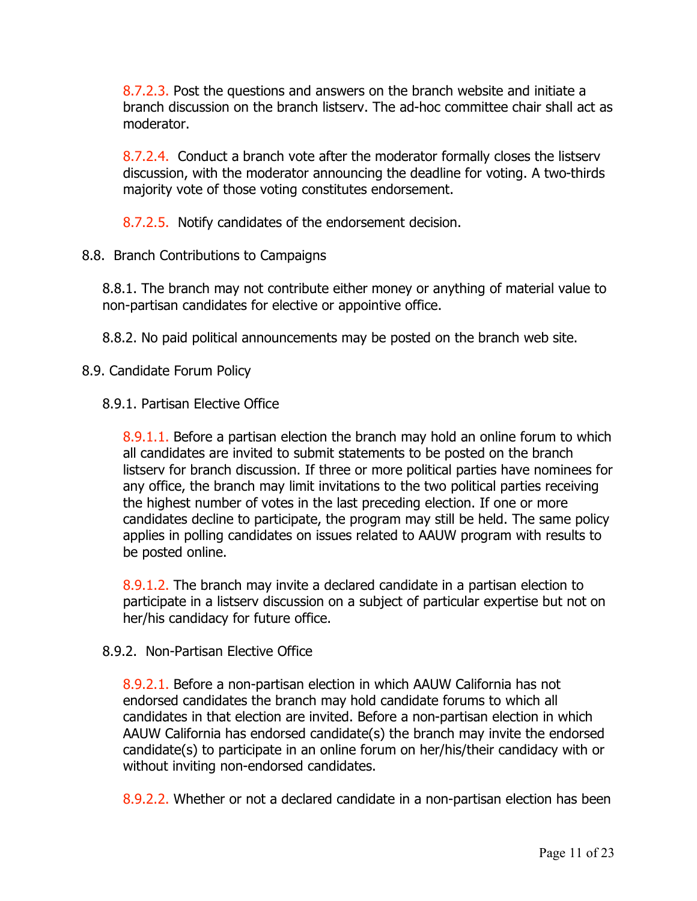8.7.2.3. Post the questions and answers on the branch website and initiate a branch discussion on the branch listserv. The ad-hoc committee chair shall act as moderator.

8.7.2.4. Conduct a branch vote after the moderator formally closes the listserv discussion, with the moderator announcing the deadline for voting. A two-thirds majority vote of those voting constitutes endorsement.

8.7.2.5. Notify candidates of the endorsement decision.

8.8. Branch Contributions to Campaigns

8.8.1. The branch may not contribute either money or anything of material value to non-partisan candidates for elective or appointive office.

8.8.2. No paid political announcements may be posted on the branch web site.

8.9. Candidate Forum Policy

8.9.1. Partisan Elective Office

8.9.1.1. Before a partisan election the branch may hold an online forum to which all candidates are invited to submit statements to be posted on the branch listserv for branch discussion. If three or more political parties have nominees for any office, the branch may limit invitations to the two political parties receiving the highest number of votes in the last preceding election. If one or more candidates decline to participate, the program may still be held. The same policy applies in polling candidates on issues related to AAUW program with results to be posted online.

8.9.1.2. The branch may invite a declared candidate in a partisan election to participate in a listserv discussion on a subject of particular expertise but not on her/his candidacy for future office.

#### 8.9.2. Non-Partisan Elective Office

8.9.2.1. Before a non-partisan election in which AAUW California has not endorsed candidates the branch may hold candidate forums to which all candidates in that election are invited. Before a non-partisan election in which AAUW California has endorsed candidate(s) the branch may invite the endorsed candidate(s) to participate in an online forum on her/his/their candidacy with or without inviting non-endorsed candidates.

8.9.2.2. Whether or not a declared candidate in a non-partisan election has been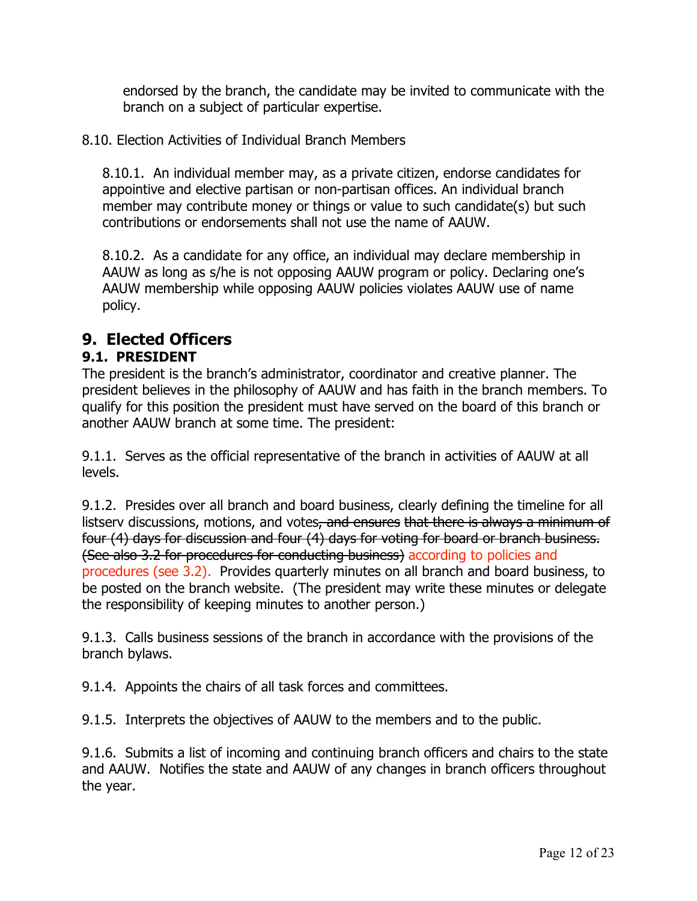endorsed by the branch, the candidate may be invited to communicate with the branch on a subject of particular expertise.

### 8.10. Election Activities of Individual Branch Members

8.10.1. An individual member may, as a private citizen, endorse candidates for appointive and elective partisan or non-partisan offices. An individual branch member may contribute money or things or value to such candidate(s) but such contributions or endorsements shall not use the name of AAUW.

8.10.2. As a candidate for any office, an individual may declare membership in AAUW as long as s/he is not opposing AAUW program or policy. Declaring one's AAUW membership while opposing AAUW policies violates AAUW use of name policy.

# **9. Elected Officers**

## **9.1. PRESIDENT**

The president is the branch's administrator, coordinator and creative planner. The president believes in the philosophy of AAUW and has faith in the branch members. To qualify for this position the president must have served on the board of this branch or another AAUW branch at some time. The president:

9.1.1. Serves as the official representative of the branch in activities of AAUW at all levels.

9.1.2. Presides over all branch and board business, clearly defining the timeline for all listsery discussions, motions, and votes, and ensures that there is always a minimum of four (4) days for discussion and four (4) days for voting for board or branch business. (See also 3.2 for procedures for conducting business) according to policies and procedures (see 3.2). Provides quarterly minutes on all branch and board business, to be posted on the branch website. (The president may write these minutes or delegate the responsibility of keeping minutes to another person.)

9.1.3. Calls business sessions of the branch in accordance with the provisions of the branch bylaws.

9.1.4. Appoints the chairs of all task forces and committees.

9.1.5. Interprets the objectives of AAUW to the members and to the public.

9.1.6. Submits a list of incoming and continuing branch officers and chairs to the state and AAUW. Notifies the state and AAUW of any changes in branch officers throughout the year.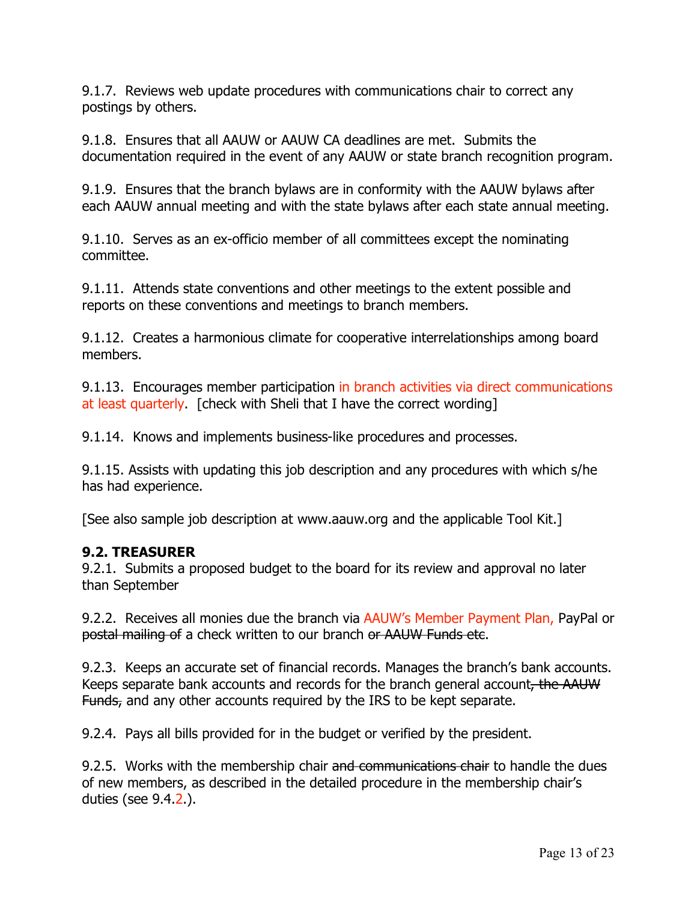9.1.7. Reviews web update procedures with communications chair to correct any postings by others.

9.1.8. Ensures that all AAUW or AAUW CA deadlines are met. Submits the documentation required in the event of any AAUW or state branch recognition program.

9.1.9. Ensures that the branch bylaws are in conformity with the AAUW bylaws after each AAUW annual meeting and with the state bylaws after each state annual meeting.

9.1.10. Serves as an ex-officio member of all committees except the nominating committee.

9.1.11. Attends state conventions and other meetings to the extent possible and reports on these conventions and meetings to branch members.

9.1.12. Creates a harmonious climate for cooperative interrelationships among board members.

9.1.13. Encourages member participation in branch activities via direct communications at least quarterly. [check with Sheli that I have the correct wording]

9.1.14. Knows and implements business-like procedures and processes.

9.1.15. Assists with updating this job description and any procedures with which s/he has had experience.

[See also sample job description at www.aauw.org and the applicable Tool Kit.]

#### **9.2. TREASURER**

9.2.1. Submits a proposed budget to the board for its review and approval no later than September

9.2.2. Receives all monies due the branch via AAUW's Member Payment Plan, PayPal or postal mailing of a check written to our branch or AAUW Funds etc.

9.2.3. Keeps an accurate set of financial records. Manages the branch's bank accounts. Keeps separate bank accounts and records for the branch general account, the AAUW Funds, and any other accounts required by the IRS to be kept separate.

9.2.4. Pays all bills provided for in the budget or verified by the president.

9.2.5. Works with the membership chair and communications chair to handle the dues of new members, as described in the detailed procedure in the membership chair's duties (see 9.4.2.).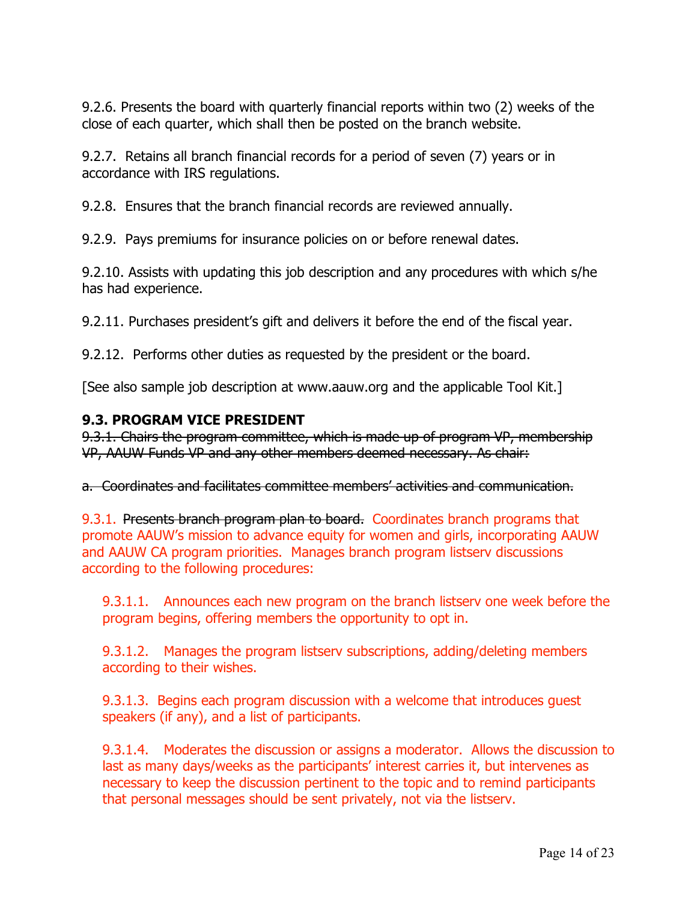9.2.6. Presents the board with quarterly financial reports within two (2) weeks of the close of each quarter, which shall then be posted on the branch website.

9.2.7. Retains all branch financial records for a period of seven (7) years or in accordance with IRS regulations.

9.2.8. Ensures that the branch financial records are reviewed annually.

9.2.9. Pays premiums for insurance policies on or before renewal dates.

9.2.10. Assists with updating this job description and any procedures with which s/he has had experience.

9.2.11. Purchases president's gift and delivers it before the end of the fiscal year.

9.2.12. Performs other duties as requested by the president or the board.

[See also sample job description at www.aauw.org and the applicable Tool Kit.]

#### **9.3. PROGRAM VICE PRESIDENT**

9.3.1. Chairs the program committee, which is made up of program VP, membership VP, AAUW Funds VP and any other members deemed necessary. As chair:

a. Coordinates and facilitates committee members' activities and communication.

9.3.1. Presents branch program plan to board. Coordinates branch programs that promote AAUW's mission to advance equity for women and girls, incorporating AAUW and AAUW CA program priorities. Manages branch program listserv discussions according to the following procedures:

9.3.1.1. Announces each new program on the branch listserv one week before the program begins, offering members the opportunity to opt in.

9.3.1.2. Manages the program listserv subscriptions, adding/deleting members according to their wishes.

9.3.1.3. Begins each program discussion with a welcome that introduces guest speakers (if any), and a list of participants.

9.3.1.4. Moderates the discussion or assigns a moderator. Allows the discussion to last as many days/weeks as the participants' interest carries it, but intervenes as necessary to keep the discussion pertinent to the topic and to remind participants that personal messages should be sent privately, not via the listserv.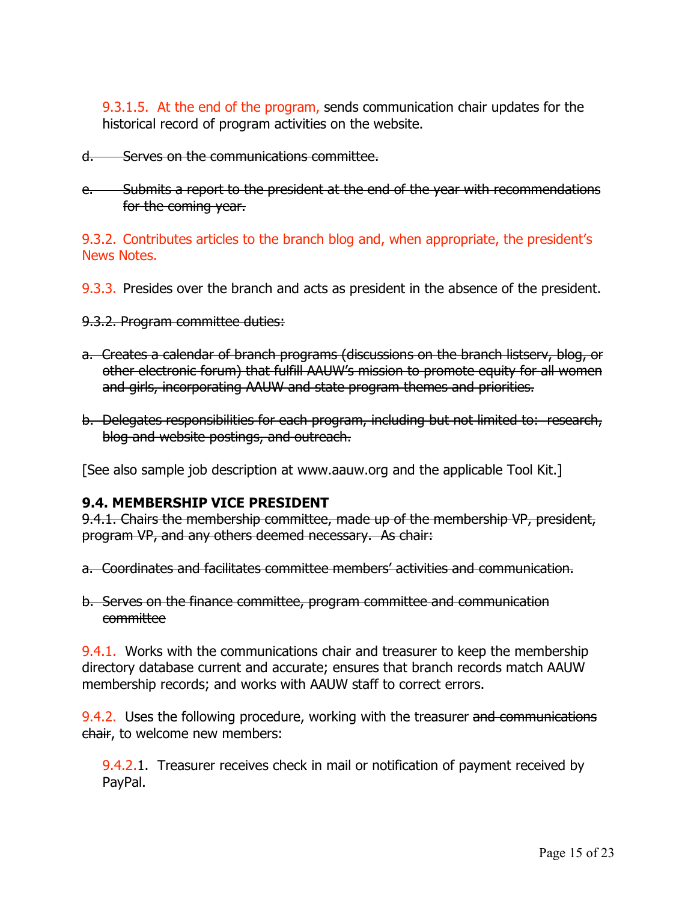9.3.1.5. At the end of the program, sends communication chair updates for the historical record of program activities on the website.

- d. Serves on the communications committee.
- e. Submits a report to the president at the end of the year with recommendations for the coming year.

9.3.2. Contributes articles to the branch blog and, when appropriate, the president's News Notes.

- 9.3.3. Presides over the branch and acts as president in the absence of the president.
- 9.3.2. Program committee duties:
- a. Creates a calendar of branch programs (discussions on the branch listserv, blog, or other electronic forum) that fulfill AAUW's mission to promote equity for all women and girls, incorporating AAUW and state program themes and priorities.
- b. Delegates responsibilities for each program, including but not limited to: research, blog and website postings, and outreach.

[See also sample job description at www.aauw.org and the applicable Tool Kit.]

#### **9.4. MEMBERSHIP VICE PRESIDENT**

9.4.1. Chairs the membership committee, made up of the membership VP, president, program VP, and any others deemed necessary. As chair:

a. Coordinates and facilitates committee members' activities and communication.

b. Serves on the finance committee, program committee and communication committee

9.4.1. Works with the communications chair and treasurer to keep the membership directory database current and accurate; ensures that branch records match AAUW membership records; and works with AAUW staff to correct errors.

9.4.2. Uses the following procedure, working with the treasurer and communications chair, to welcome new members:

9.4.2.1. Treasurer receives check in mail or notification of payment received by PayPal.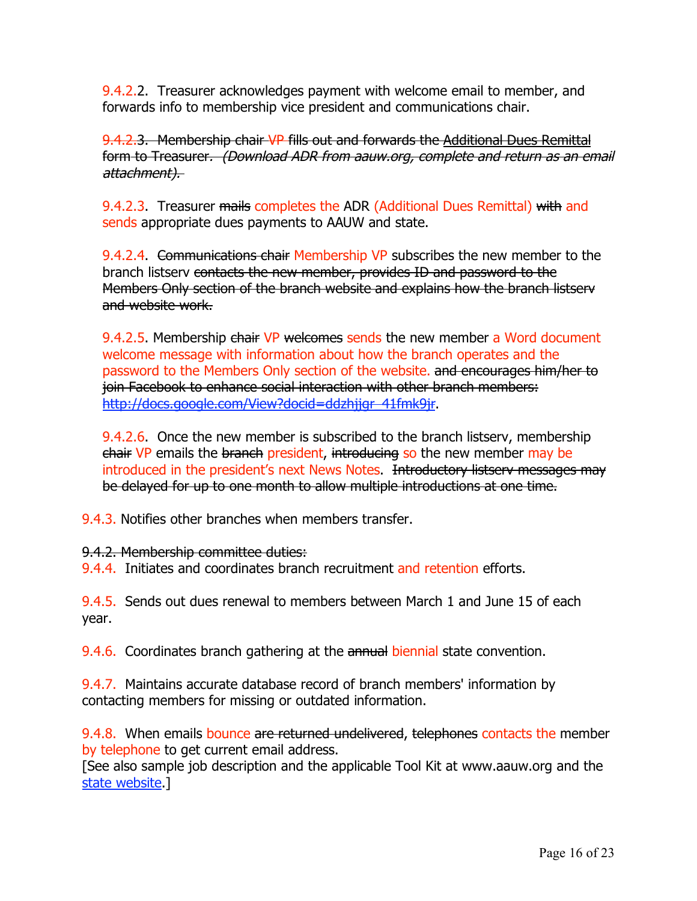9.4.2.2. Treasurer acknowledges payment with welcome email to member, and forwards info to membership vice president and communications chair.

9.4.2.3. Membership chair VP fills out and forwards the Additional Dues Remittal form to Treasurer. (Download ADR from aauw.org, complete and return as an email attachment).

9.4.2.3. Treasurer mails completes the ADR (Additional Dues Remittal) with and sends appropriate dues payments to AAUW and state.

9.4.2.4. Communications chair Membership VP subscribes the new member to the branch listserv contacts the new member, provides ID and password to the Members Only section of the branch website and explains how the branch listserv and website work.

9.4.2.5. Membership chair VP welcomes sends the new member a Word document welcome message with information about how the branch operates and the password to the Members Only section of the website. and encourages him/her to join Facebook to enhance social interaction with other branch members: http://docs.google.com/View?docid=ddzhjigr\_41fmk9jr.

9.4.2.6. Once the new member is subscribed to the branch listserv, membership chair VP emails the branch president, introducing so the new member may be introduced in the president's next News Notes. Introductory listsery messages may be delayed for up to one month to allow multiple introductions at one time.

9.4.3. Notifies other branches when members transfer.

9.4.2. Membership committee duties:

9.4.4. Initiates and coordinates branch recruitment and retention efforts.

9.4.5. Sends out dues renewal to members between March 1 and June 15 of each year.

9.4.6. Coordinates branch gathering at the annual biennial state convention.

9.4.7. Maintains accurate database record of branch members' information by contacting members for missing or outdated information.

9.4.8. When emails bounce are returned undelivered, telephones contacts the member by telephone to get current email address.

[See also sample job description and the applicable Tool Kit at www.aauw.org and the state website.]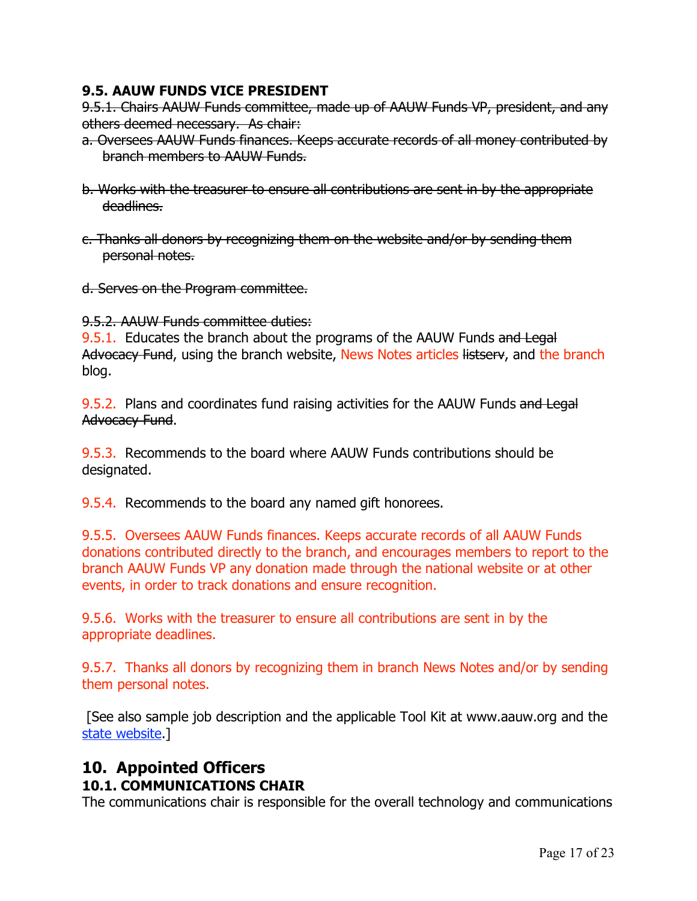### **9.5. AAUW FUNDS VICE PRESIDENT**

9.5.1. Chairs AAUW Funds committee, made up of AAUW Funds VP, president, and any others deemed necessary. As chair:

- a. Oversees AAUW Funds finances. Keeps accurate records of all money contributed by branch members to AAUW Funds.
- b. Works with the treasurer to ensure all contributions are sent in by the appropriate deadlines.
- c. Thanks all donors by recognizing them on the website and/or by sending them personal notes.
- d. Serves on the Program committee.

9.5.2. AAUW Funds committee duties:

9.5.1. Educates the branch about the programs of the AAUW Funds and Legal Advocacy Fund, using the branch website, News Notes articles listsery, and the branch blog.

9.5.2. Plans and coordinates fund raising activities for the AAUW Funds and Legal Advocacy Fund.

9.5.3. Recommends to the board where AAUW Funds contributions should be designated.

9.5.4. Recommends to the board any named gift honorees.

9.5.5. Oversees AAUW Funds finances. Keeps accurate records of all AAUW Funds donations contributed directly to the branch, and encourages members to report to the branch AAUW Funds VP any donation made through the national website or at other events, in order to track donations and ensure recognition.

9.5.6. Works with the treasurer to ensure all contributions are sent in by the appropriate deadlines.

9.5.7. Thanks all donors by recognizing them in branch News Notes and/or by sending them personal notes.

 [See also sample job description and the applicable Tool Kit at www.aauw.org and the state website.]

# **10. Appointed Officers**

## **10.1. COMMUNICATIONS CHAIR**

The communications chair is responsible for the overall technology and communications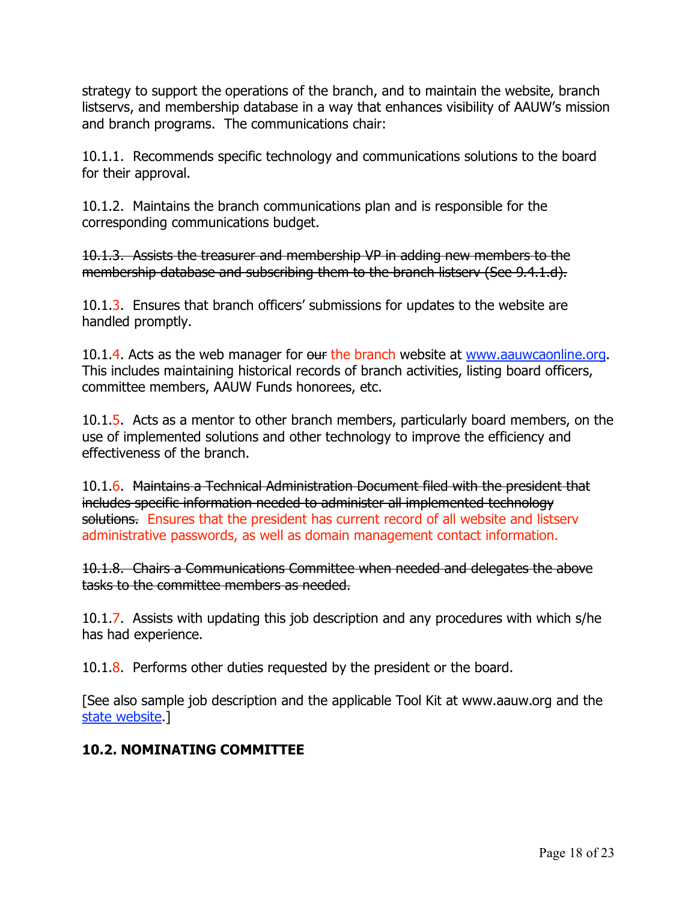strategy to support the operations of the branch, and to maintain the website, branch listservs, and membership database in a way that enhances visibility of AAUW's mission and branch programs. The communications chair:

10.1.1. Recommends specific technology and communications solutions to the board for their approval.

10.1.2. Maintains the branch communications plan and is responsible for the corresponding communications budget.

10.1.3. Assists the treasurer and membership VP in adding new members to the membership database and subscribing them to the branch listserv (See 9.4.1.d).

10.1.3. Ensures that branch officers' submissions for updates to the website are handled promptly.

10.1.4. Acts as the web manager for our the branch website at www.aauwcaonline.org. This includes maintaining historical records of branch activities, listing board officers, committee members, AAUW Funds honorees, etc.

10.1.5. Acts as a mentor to other branch members, particularly board members, on the use of implemented solutions and other technology to improve the efficiency and effectiveness of the branch.

10.1.6. Maintains a Technical Administration Document filed with the president that includes specific information needed to administer all implemented technology solutions. Ensures that the president has current record of all website and listserv administrative passwords, as well as domain management contact information.

10.1.8. Chairs a Communications Committee when needed and delegates the above tasks to the committee members as needed.

10.1.7. Assists with updating this job description and any procedures with which s/he has had experience.

10.1.8. Performs other duties requested by the president or the board.

[See also sample job description and the applicable Tool Kit at www.aauw.org and the state website.]

## **10.2. NOMINATING COMMITTEE**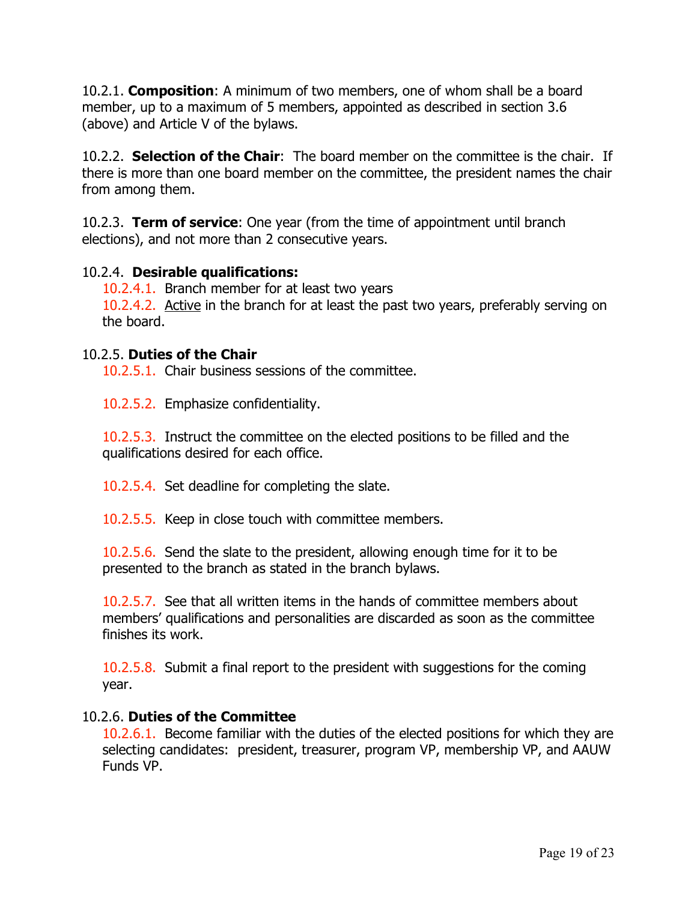10.2.1. **Composition**: A minimum of two members, one of whom shall be a board member, up to a maximum of 5 members, appointed as described in section 3.6 (above) and Article V of the bylaws.

10.2.2. **Selection of the Chair**: The board member on the committee is the chair. If there is more than one board member on the committee, the president names the chair from among them.

10.2.3. **Term of service**: One year (from the time of appointment until branch elections), and not more than 2 consecutive years.

#### 10.2.4. **Desirable qualifications:**

10.2.4.1. Branch member for at least two years 10.2.4.2. Active in the branch for at least the past two years, preferably serving on the board.

#### 10.2.5. **Duties of the Chair**

10.2.5.1. Chair business sessions of the committee.

10.2.5.2. Emphasize confidentiality.

10.2.5.3. Instruct the committee on the elected positions to be filled and the qualifications desired for each office.

10.2.5.4. Set deadline for completing the slate.

10.2.5.5. Keep in close touch with committee members.

10.2.5.6. Send the slate to the president, allowing enough time for it to be presented to the branch as stated in the branch bylaws.

10.2.5.7. See that all written items in the hands of committee members about members' qualifications and personalities are discarded as soon as the committee finishes its work.

10.2.5.8. Submit a final report to the president with suggestions for the coming year.

## 10.2.6. **Duties of the Committee**

10.2.6.1. Become familiar with the duties of the elected positions for which they are selecting candidates: president, treasurer, program VP, membership VP, and AAUW Funds VP.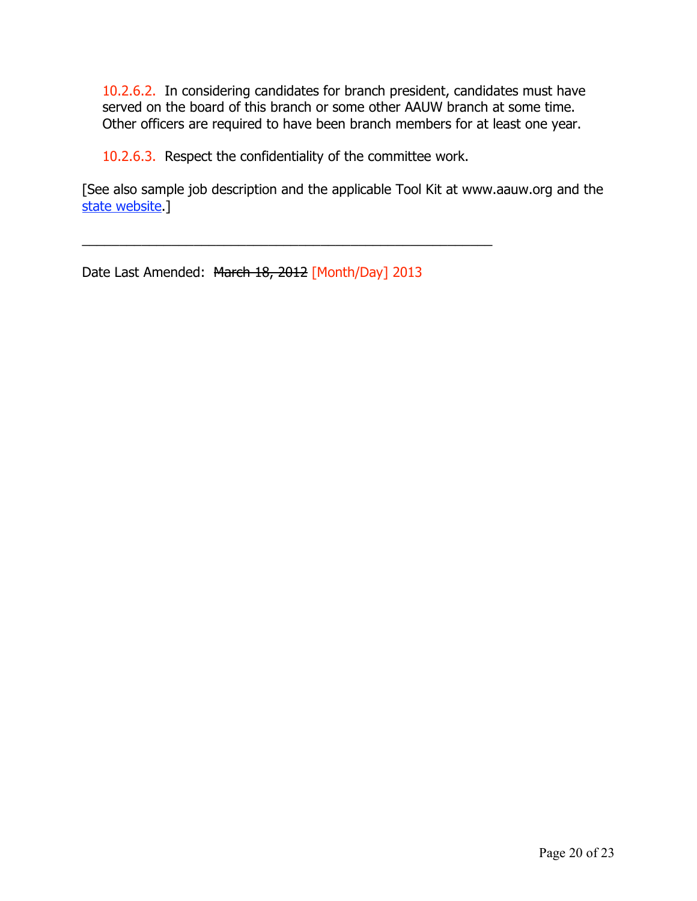10.2.6.2. In considering candidates for branch president, candidates must have served on the board of this branch or some other AAUW branch at some time. Other officers are required to have been branch members for at least one year.

10.2.6.3. Respect the confidentiality of the committee work.

\_\_\_\_\_\_\_\_\_\_\_\_\_\_\_\_\_\_\_\_\_\_\_\_\_\_\_\_\_\_\_\_\_\_\_\_\_\_\_\_\_\_\_\_\_\_\_\_\_\_\_\_\_\_\_

[See also sample job description and the applicable Tool Kit at www.aauw.org and the state website.]

Date Last Amended: March 18, 2012 [Month/Day] 2013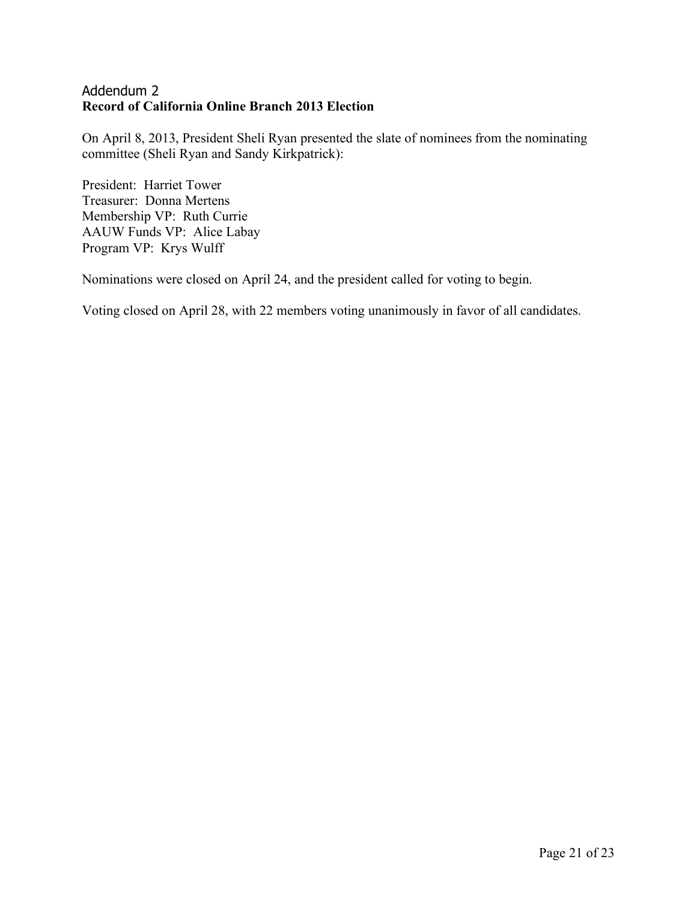#### Addendum 2 **Record of California Online Branch 2013 Election**

On April 8, 2013, President Sheli Ryan presented the slate of nominees from the nominating committee (Sheli Ryan and Sandy Kirkpatrick):

President: Harriet Tower Treasurer: Donna Mertens Membership VP: Ruth Currie AAUW Funds VP: Alice Labay Program VP: Krys Wulff

Nominations were closed on April 24, and the president called for voting to begin.

Voting closed on April 28, with 22 members voting unanimously in favor of all candidates.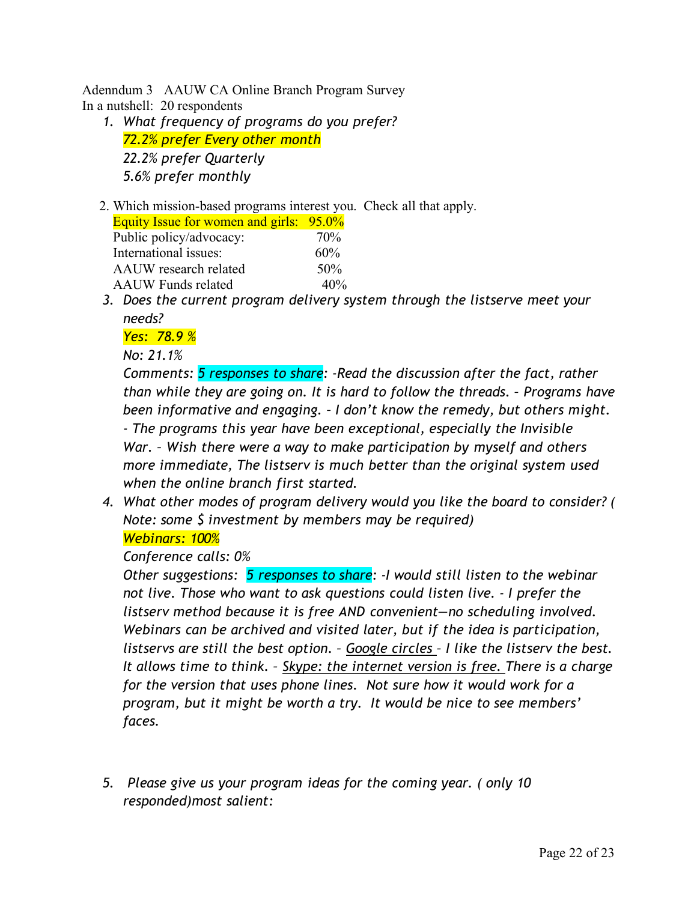Adenndum 3 AAUW CA Online Branch Program Survey In a nutshell: 20 respondents

- *1. What frequency of programs do you prefer? 72.2% prefer Every other month 22.2% prefer Quarterly 5.6% prefer monthly*
- 2. Which mission-based programs interest you. Check all that apply.

| <b>Equity Issue for women and girls: 95.0%</b> |     |
|------------------------------------------------|-----|
| Public policy/advocacy:                        | 70% |
| International issues:                          | 60% |
| AAUW research related                          | 50% |
| <b>AAUW</b> Funds related                      | 40% |
|                                                |     |

*3. Does the current program delivery system through the listserve meet your needs?*

#### *Yes: 78.9 %*

*No: 21.1%*

*Comments: 5 responses to share: -Read the discussion after the fact, rather than while they are going on. It is hard to follow the threads. – Programs have been informative and engaging. – I don't know the remedy, but others might. - The programs this year have been exceptional, especially the Invisible War. – Wish there were a way to make participation by myself and others more immediate, The listserv is much better than the original system used when the online branch first started.*

*4. What other modes of program delivery would you like the board to consider? ( Note: some \$ investment by members may be required)*

#### *Webinars: 100%*

#### *Conference calls: 0%*

*Other suggestions: 5 responses to share: -I would still listen to the webinar not live. Those who want to ask questions could listen live. - I prefer the listserv method because it is free AND convenient—no scheduling involved. Webinars can be archived and visited later, but if the idea is participation, listservs are still the best option. – Google circles – I like the listserv the best. It allows time to think. – Skype: the internet version is free. There is a charge for the version that uses phone lines. Not sure how it would work for a program, but it might be worth a try. It would be nice to see members' faces.* 

*5. Please give us your program ideas for the coming year. ( only 10 responded)most salient:*